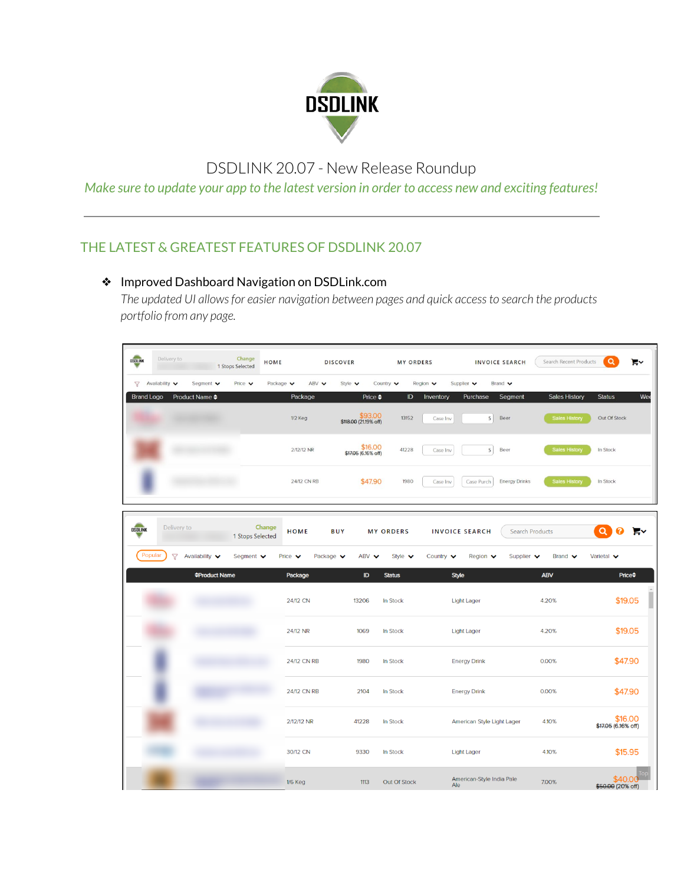

# DSDLINK 20.07 - New Release Roundup

*Make sure to update your app to the latest version in order to access new and exciting features!*

## THE LATEST & GREATEST FEATURES OF DSDLINK 20.07

#### ❖ Improved Dashboard Navigation on DSDLink.com

*The updated UI allowsfor easier navigation between pages and quick accessto search the products portfolio from any page.*

| DSOLINK           | Delivery to                                |                             | Change<br>1 Stops Selected    | HOME                         |                              | <b>DISCOVER</b>                 |                                                    | <b>MY ORDERS</b>           |                              |                                           | <b>INVOICE SEARCH</b>          | Search Recent Products      | $\alpha$                       | F۷  |
|-------------------|--------------------------------------------|-----------------------------|-------------------------------|------------------------------|------------------------------|---------------------------------|----------------------------------------------------|----------------------------|------------------------------|-------------------------------------------|--------------------------------|-----------------------------|--------------------------------|-----|
| <b>Brand Logo</b> | $\nabla$ Availability $\blacktriangledown$ | Segment v<br>Product Name ♦ | Price v                       | Package $\blacktriangledown$ | ABV V<br>Package             | Style $\blacktriangledown$      | Country $\blacktriangledown$<br>Price $\triangleq$ | Region $\vee$<br>ID        | Inventory                    | Supplier $\mathbf{\check{v}}$<br>Purchase | Brand v<br>Segment             | <b>Sales History</b>        | <b>Status</b>                  | We6 |
|                   |                                            |                             |                               | 1/2 Keg                      |                              | \$118.00 (21.19% off)           | \$93.00                                            | 13152                      | Case Inv                     | 5                                         | Beer                           | <b>Sales History</b>        | Out Of Stock                   |     |
|                   |                                            |                             |                               |                              | 2/12/12 NR                   | $$16.00$<br>\$17.05 (6.16% off) |                                                    | 41228                      | Case Inv                     | 5                                         | Beer                           | <b>Sales History</b>        | In Stock                       |     |
|                   |                                            |                             |                               |                              | 24/12 CN RB                  |                                 | \$47.90                                            | 1980                       | Case Inv                     | Case Purch                                | <b>Energy Drinks</b>           | <b>Sales History</b>        | In Stock                       |     |
|                   |                                            |                             |                               |                              |                              |                                 |                                                    |                            |                              |                                           |                                |                             |                                |     |
| <b>DSDLINK</b>    | Delivery to                                |                             | 1 Stops Selected              | Change<br><b>HOME</b>        |                              | BUY                             | <b>MY ORDERS</b>                                   |                            |                              | <b>INVOICE SEARCH</b>                     |                                | <b>Search Products</b>      | a                              | Ρ   |
|                   | Popular<br>$\triangledown$                 | Availability v              | Segment $\blacktriangleright$ | Price $\mathbf{\mathsf{v}}$  | Package $\blacktriangledown$ |                                 | ABV V                                              | Style $\blacktriangledown$ | Country $\blacktriangledown$ | Region $\vee$                             | Supplier $\mathbf{\mathsf{v}}$ | Brand $\blacktriangleright$ | Varietal v                     |     |
|                   |                                            | <b>≑Product Name</b>        |                               | Package                      |                              |                                 | ID<br><b>Status</b>                                |                            | Style                        |                                           |                                | <b>ABV</b>                  | <b>Price</b> ≑                 |     |
|                   |                                            |                             |                               | 24/12 CN                     |                              | 13206                           | In Stock                                           |                            |                              | <b>Light Lager</b>                        |                                | 4.20%                       | \$19.05                        |     |
|                   |                                            |                             |                               | 24/12 NR                     |                              | 1069                            | In Stock                                           |                            |                              | Light Lager                               |                                | 4.20%                       | \$19.05                        |     |
|                   |                                            |                             |                               |                              | 24/12 CN RB                  | 1980                            | In Stock                                           |                            |                              | <b>Energy Drink</b>                       |                                | 0.00%                       | \$47.90                        |     |
|                   |                                            |                             |                               |                              | 24/12 CN RB                  | 2104                            | In Stock                                           |                            |                              | <b>Energy Drink</b>                       |                                | 0.00%                       | \$47.90                        |     |
|                   |                                            |                             |                               | 2/12/12 NR                   |                              | 41228                           | In Stock                                           |                            |                              | American Style Light Lager                |                                | 4.10%                       | \$16.00<br>\$17.05 (6.16% off) |     |
|                   |                                            |                             |                               | 30/12 CN                     |                              | 9330                            | In Stock                                           |                            |                              | <b>Light Lager</b>                        |                                | 4.10%                       | \$15.95                        |     |
|                   |                                            |                             |                               | <b>1/6 Keg</b>               |                              | 1113                            |                                                    | Out Of Stock               | Ale                          | American-Style India Pale                 |                                | 7.00%                       | \$40.00<br>\$50.00 (20% off)   |     |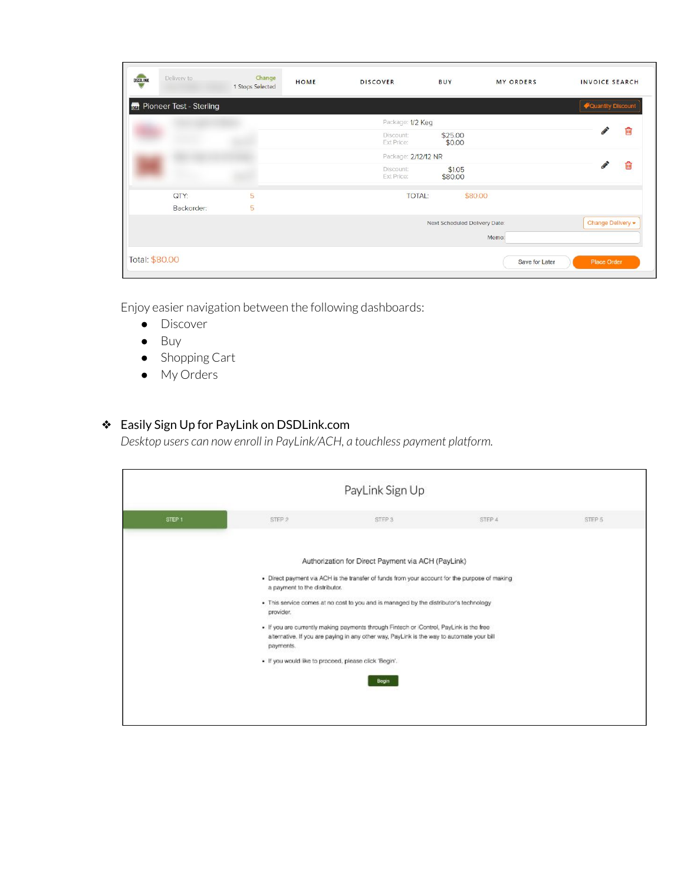| DSDLINK | Delivery to                        | Change<br>1 Stops Selected | HOME | <b>DISCOVER</b>         | BUY                           | <b>MY ORDERS</b> | <b>INVOICE SEARCH</b>      |
|---------|------------------------------------|----------------------------|------|-------------------------|-------------------------------|------------------|----------------------------|
|         | <b>For</b> Pioneer Test - Sterling |                            |      |                         |                               |                  | <b>V</b> Quantity Discount |
|         |                                    |                            |      | Package: 1/2 Keg        |                               |                  |                            |
|         |                                    |                            |      | Discount:<br>Ext Price: | \$25.00<br>\$0.00             |                  | Ŵ                          |
|         |                                    |                            |      | Package: 2/12/12 NR     |                               |                  |                            |
|         |                                    |                            |      | Discount:<br>Ext Price: | \$1.05<br>\$80.00             |                  | û                          |
|         | QTY:                               | 5                          |      | <b>TOTAL:</b>           | \$80.00                       |                  |                            |
|         | Backorder:                         | 5                          |      |                         |                               |                  |                            |
|         |                                    |                            |      |                         | Next Scheduled Delivery Date: |                  | Change Delivery -          |
|         |                                    |                            |      |                         |                               | Memo:            |                            |
|         | Total: \$80.00                     |                            |      |                         |                               | Save for Later   | <b>Place Order</b>         |

Enjoy easier navigation between the following dashboards:

- Discover
- Buy
- Shopping Cart
- My Orders

### ❖ Easily Sign Up for PayLink on DSDLink.com

*Desktop users can now enroll in PayLink/ACH, a touchless payment platform.*

|                                                                                                                                                                                                                                                                                                                                                                                                                                                                                                                                                                  |  | PayLink Sign Up |  |
|------------------------------------------------------------------------------------------------------------------------------------------------------------------------------------------------------------------------------------------------------------------------------------------------------------------------------------------------------------------------------------------------------------------------------------------------------------------------------------------------------------------------------------------------------------------|--|-----------------|--|
| <b>Concertibility</b><br>STEP <sub>1</sub><br>STEP 2<br>STEP 3<br>STEP 4<br>STEP 5                                                                                                                                                                                                                                                                                                                                                                                                                                                                               |  |                 |  |
| Authorization for Direct Payment via ACH (PayLink)<br>. Direct payment via ACH is the transfer of funds from your account for the purpose of making<br>a payment to the distributor.<br>. This service comes at no cost to you and is managed by the distributor's technology<br>provider.<br>. If you are currently making payments through Fintech or Control, PayLink is the free<br>alternative. If you are paying in any other way, PayLink is the way to automate your bill<br>payments.<br>· If you would like to proceed, please click 'Begin'.<br>Begin |  |                 |  |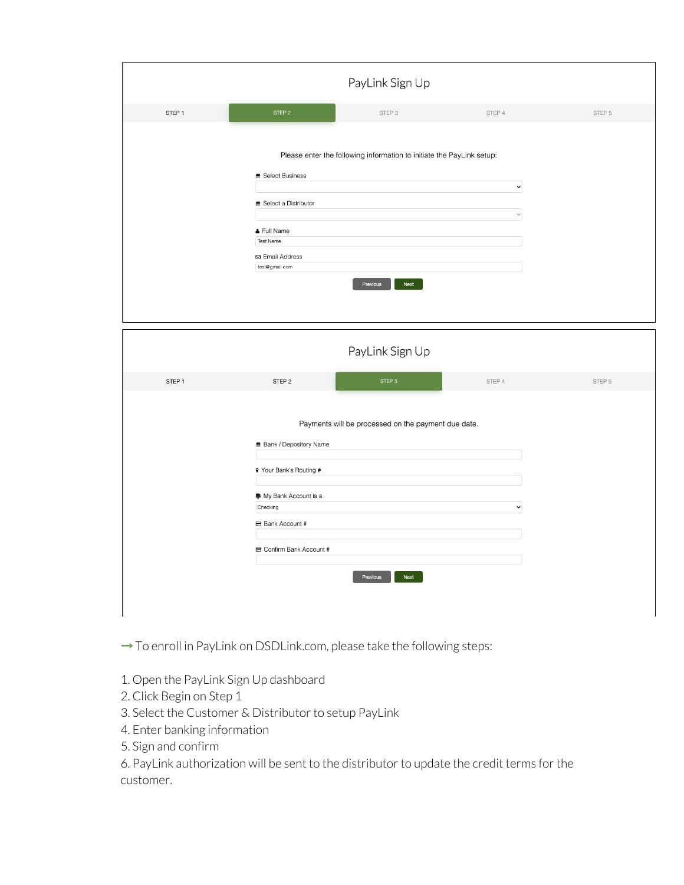|                   |                                                                                                                            | PayLink Sign Up                                                                           |                             |        |
|-------------------|----------------------------------------------------------------------------------------------------------------------------|-------------------------------------------------------------------------------------------|-----------------------------|--------|
| STEP <sub>1</sub> | STEP 2                                                                                                                     | STEP 3                                                                                    | STEP 4                      | STEP 5 |
|                   | <b>量 Select Business</b><br>■ Select a Distributor<br>& Full Name<br><b>Test Name</b><br>⊠ Email Address<br>test@gmail.com | Please enter the following information to initiate the PayLink setup:<br>Next<br>Previous | $\check{~}$<br>$\checkmark$ |        |

|                   |                                                                                                                    | PayLink Sign Up                                     |             |        |
|-------------------|--------------------------------------------------------------------------------------------------------------------|-----------------------------------------------------|-------------|--------|
| STEP <sub>1</sub> | STEP <sub>2</sub>                                                                                                  | STEP <sub>3</sub>                                   | STEP 4      | STEP 5 |
|                   | <b>Bank / Depository Name</b><br>9 Your Bank's Routing #<br>● My Bank Account is a<br>Checking<br>B Bank Account # | Payments will be processed on the payment due date. | $\check{~}$ |        |
|                   | Confirm Bank Account #                                                                                             | Next<br>Previous                                    |             |        |

→ To enroll in PayLink on DSDLink.com, please take the following steps:

- 1. Open the PayLink Sign Up dashboard
- 2. Click Begin on Step 1
- 3. Select the Customer & Distributor to setup PayLink
- 4. Enter banking information
- 5. Sign and confirm

6. PayLink authorization will be sent to the distributor to update the credit terms for the customer.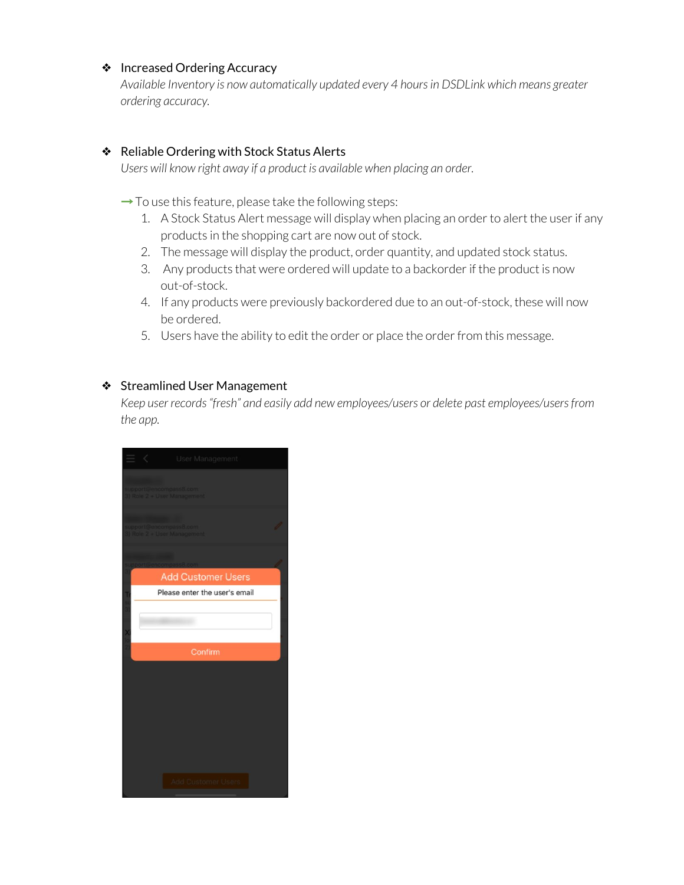#### ❖ Increased Ordering Accuracy

*Available Inventory is now automatically updated every 4 hoursin DSDLink which means greater ordering accuracy.*

#### ❖ Reliable Ordering with Stock Status Alerts

*Users will know right away if a product is available when placing an order.*

 $\rightarrow$  To use this feature, please take the following steps:

- 1. A Stock Status Alert message will display when placing an order to alert the user if any products in the shopping cart are now out of stock.
- 2. The message will display the product, order quantity, and updated stock status.
- 3. Any products that were ordered will update to a backorder if the product is now out-of-stock.
- 4. If any products were previously backordered due to an out-of-stock, these will now be ordered.
- 5. Users have the ability to edit the order or place the order from this message.

#### ❖ Streamlined User Management

*Keep user records"fresh" and easily add new employees/users or delete past employees/usersfrom the app.*

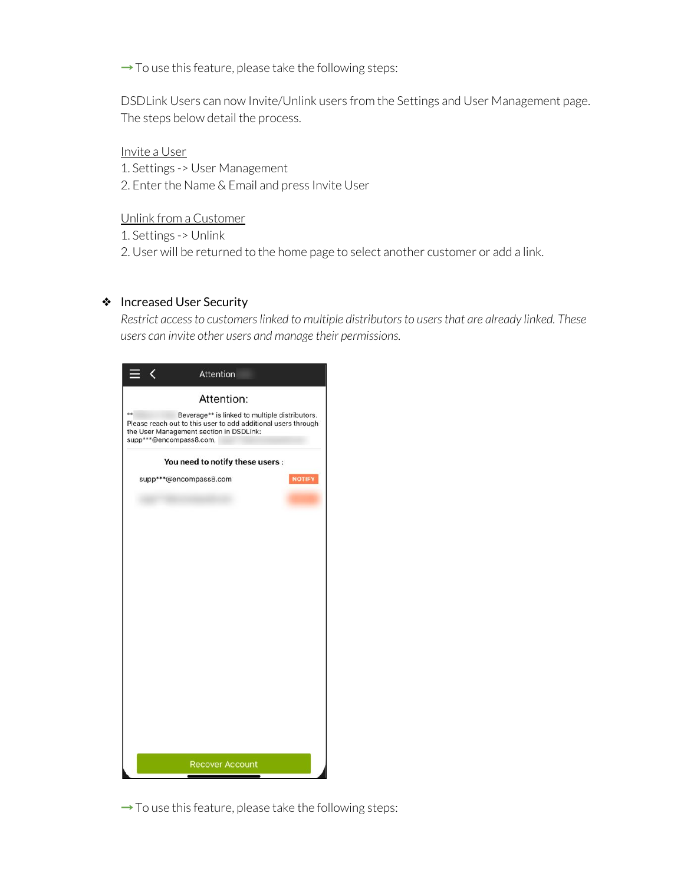$\rightarrow$  To use this feature, please take the following steps:

DSDLink Users can now Invite/Unlink users from the Settings and User Management page. The steps below detail the process.

Invite a User 1. Settings -> User Management 2. Enter the Name & Email and press Invite User

Unlink from a Customer

1. Settings -> Unlink

2. User will be returned to the home page to select another customer or add a link.

#### ❖ Increased User Security

*Restrict accessto customerslinked to multiple distributorsto usersthat are already linked. These users can invite other users and manage their permissions.*

| ∢                             | Attention                                                                                                                                                  |               |
|-------------------------------|------------------------------------------------------------------------------------------------------------------------------------------------------------|---------------|
|                               | Attention:                                                                                                                                                 |               |
| **<br>supp***@encompass8.com, | Beverage** is linked to multiple distributors.<br>Please reach out to this user to add additional users through<br>the User Management section in DSDLink: |               |
|                               | You need to notify these users :                                                                                                                           |               |
| supp***@encompass8.com        |                                                                                                                                                            | <b>NOTIFY</b> |
|                               | <b>Recover Account</b>                                                                                                                                     |               |

 $\rightarrow$  To use this feature, please take the following steps: